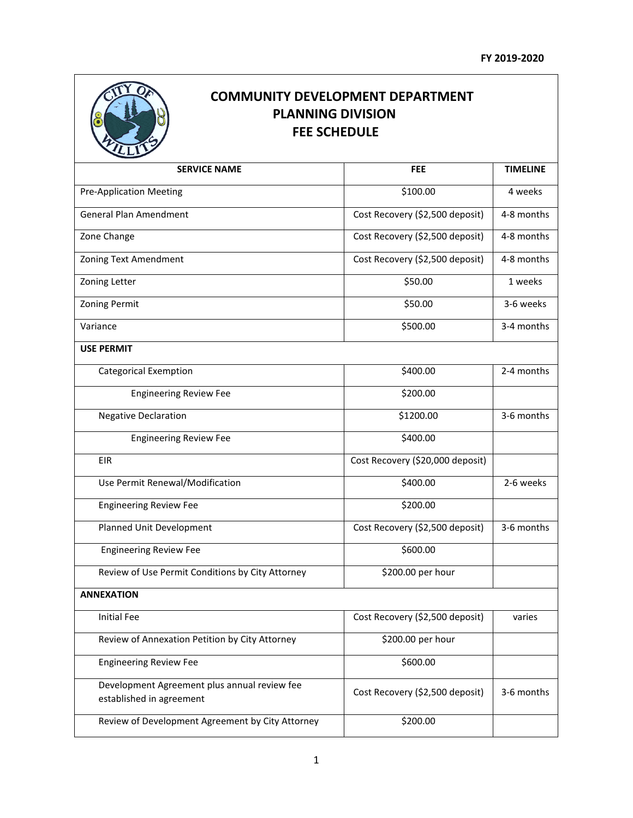

## **COMMUNITY DEVELOPMENT DEPARTMENT PLANNING DIVISION FEE SCHEDULE**

| <b>SERVICE NAME</b>                                                      | <b>FEE</b>                       | <b>TIMELINE</b> |
|--------------------------------------------------------------------------|----------------------------------|-----------------|
| <b>Pre-Application Meeting</b>                                           | \$100.00                         | 4 weeks         |
| <b>General Plan Amendment</b>                                            | Cost Recovery (\$2,500 deposit)  | 4-8 months      |
| Zone Change                                                              | Cost Recovery (\$2,500 deposit)  | 4-8 months      |
| Zoning Text Amendment                                                    | Cost Recovery (\$2,500 deposit)  | 4-8 months      |
| Zoning Letter                                                            | \$50.00                          | 1 weeks         |
| Zoning Permit                                                            | \$50.00                          | 3-6 weeks       |
| Variance                                                                 | \$500.00                         | 3-4 months      |
| <b>USE PERMIT</b>                                                        |                                  |                 |
| <b>Categorical Exemption</b>                                             | \$400.00                         | 2-4 months      |
| <b>Engineering Review Fee</b>                                            | \$200.00                         |                 |
| <b>Negative Declaration</b>                                              | \$1200.00                        | 3-6 months      |
| <b>Engineering Review Fee</b>                                            | \$400.00                         |                 |
| <b>EIR</b>                                                               | Cost Recovery (\$20,000 deposit) |                 |
| Use Permit Renewal/Modification                                          | \$400.00                         | 2-6 weeks       |
| <b>Engineering Review Fee</b>                                            | \$200.00                         |                 |
| Planned Unit Development                                                 | Cost Recovery (\$2,500 deposit)  | 3-6 months      |
| <b>Engineering Review Fee</b>                                            | \$600.00                         |                 |
| Review of Use Permit Conditions by City Attorney                         | \$200.00 per hour                |                 |
| <b>ANNEXATION</b>                                                        |                                  |                 |
| <b>Initial Fee</b>                                                       | Cost Recovery (\$2,500 deposit)  | varies          |
| Review of Annexation Petition by City Attorney                           | \$200.00 per hour                |                 |
| <b>Engineering Review Fee</b>                                            | \$600.00                         |                 |
| Development Agreement plus annual review fee<br>established in agreement | Cost Recovery (\$2,500 deposit)  | 3-6 months      |
| Review of Development Agreement by City Attorney                         | \$200.00                         |                 |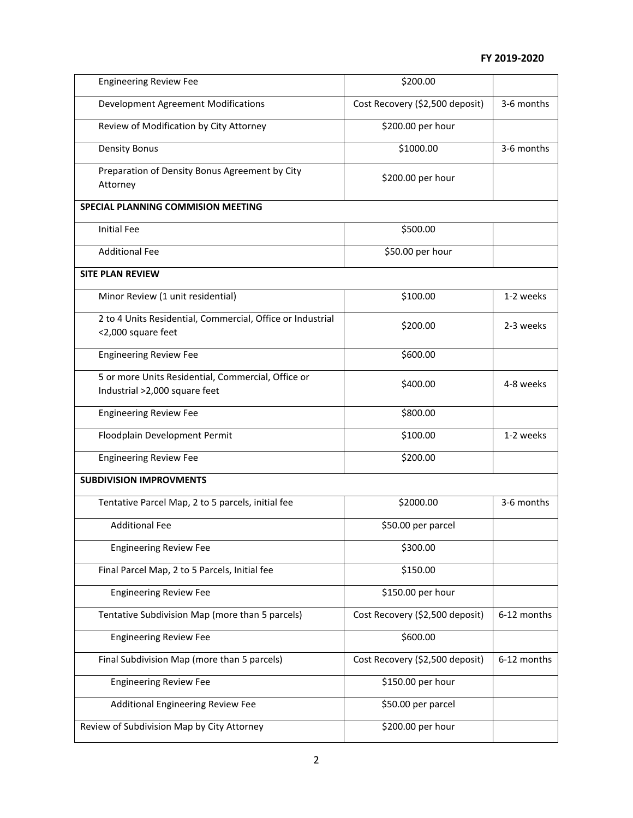| <b>Engineering Review Fee</b>                                                       | \$200.00                        |             |  |  |
|-------------------------------------------------------------------------------------|---------------------------------|-------------|--|--|
| <b>Development Agreement Modifications</b>                                          | Cost Recovery (\$2,500 deposit) | 3-6 months  |  |  |
| Review of Modification by City Attorney                                             | \$200.00 per hour               |             |  |  |
| <b>Density Bonus</b>                                                                | \$1000.00                       | 3-6 months  |  |  |
| Preparation of Density Bonus Agreement by City<br>Attorney                          | \$200.00 per hour               |             |  |  |
| <b>SPECIAL PLANNING COMMISION MEETING</b>                                           |                                 |             |  |  |
| <b>Initial Fee</b>                                                                  | \$500.00                        |             |  |  |
| <b>Additional Fee</b>                                                               | \$50.00 per hour                |             |  |  |
| <b>SITE PLAN REVIEW</b>                                                             |                                 |             |  |  |
| Minor Review (1 unit residential)                                                   | \$100.00                        | 1-2 weeks   |  |  |
| 2 to 4 Units Residential, Commercial, Office or Industrial<br><2,000 square feet    | \$200.00                        | 2-3 weeks   |  |  |
| <b>Engineering Review Fee</b>                                                       | \$600.00                        |             |  |  |
| 5 or more Units Residential, Commercial, Office or<br>Industrial >2,000 square feet | \$400.00                        | 4-8 weeks   |  |  |
| <b>Engineering Review Fee</b>                                                       | \$800.00                        |             |  |  |
| Floodplain Development Permit                                                       | \$100.00                        | 1-2 weeks   |  |  |
| <b>Engineering Review Fee</b>                                                       | \$200.00                        |             |  |  |
| <b>SUBDIVISION IMPROVMENTS</b>                                                      |                                 |             |  |  |
| Tentative Parcel Map, 2 to 5 parcels, initial fee                                   | \$2000.00                       | 3-6 months  |  |  |
| <b>Additional Fee</b>                                                               | \$50.00 per parcel              |             |  |  |
| <b>Engineering Review Fee</b>                                                       | \$300.00                        |             |  |  |
| Final Parcel Map, 2 to 5 Parcels, Initial fee                                       | \$150.00                        |             |  |  |
| <b>Engineering Review Fee</b>                                                       | \$150.00 per hour               |             |  |  |
| Tentative Subdivision Map (more than 5 parcels)                                     | Cost Recovery (\$2,500 deposit) | 6-12 months |  |  |
| <b>Engineering Review Fee</b>                                                       | \$600.00                        |             |  |  |
| Final Subdivision Map (more than 5 parcels)                                         | Cost Recovery (\$2,500 deposit) | 6-12 months |  |  |
| <b>Engineering Review Fee</b>                                                       | \$150.00 per hour               |             |  |  |
| Additional Engineering Review Fee                                                   | \$50.00 per parcel              |             |  |  |
| Review of Subdivision Map by City Attorney                                          | \$200.00 per hour               |             |  |  |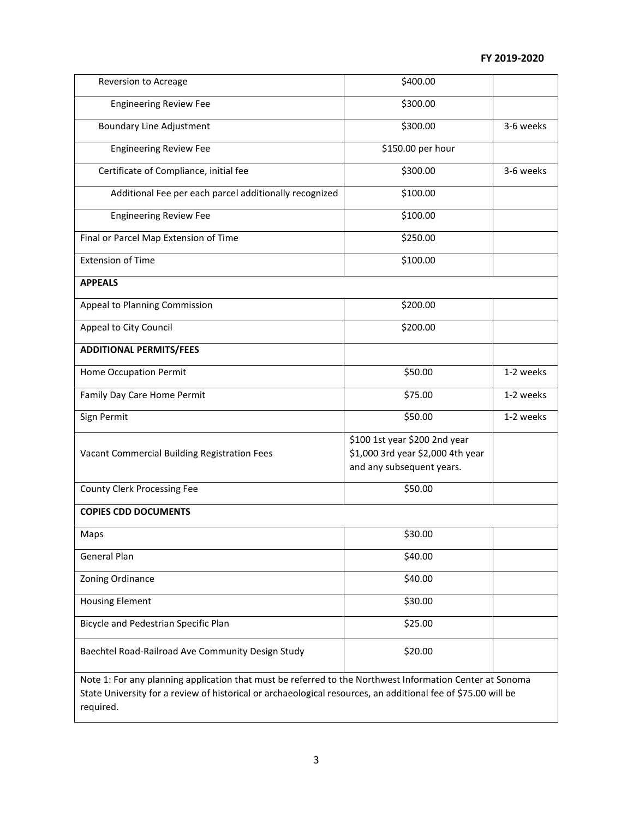| Reversion to Acreage                                                                                                                                                                                                                   | \$400.00                                                                                        |           |  |
|----------------------------------------------------------------------------------------------------------------------------------------------------------------------------------------------------------------------------------------|-------------------------------------------------------------------------------------------------|-----------|--|
| <b>Engineering Review Fee</b>                                                                                                                                                                                                          | \$300.00                                                                                        |           |  |
| <b>Boundary Line Adjustment</b>                                                                                                                                                                                                        | \$300.00                                                                                        | 3-6 weeks |  |
| <b>Engineering Review Fee</b>                                                                                                                                                                                                          | \$150.00 per hour                                                                               |           |  |
| Certificate of Compliance, initial fee                                                                                                                                                                                                 | \$300.00                                                                                        | 3-6 weeks |  |
| Additional Fee per each parcel additionally recognized                                                                                                                                                                                 | \$100.00                                                                                        |           |  |
| <b>Engineering Review Fee</b>                                                                                                                                                                                                          | \$100.00                                                                                        |           |  |
| Final or Parcel Map Extension of Time                                                                                                                                                                                                  | \$250.00                                                                                        |           |  |
| <b>Extension of Time</b>                                                                                                                                                                                                               | \$100.00                                                                                        |           |  |
| <b>APPEALS</b>                                                                                                                                                                                                                         |                                                                                                 |           |  |
| Appeal to Planning Commission                                                                                                                                                                                                          | \$200.00                                                                                        |           |  |
| Appeal to City Council                                                                                                                                                                                                                 | \$200.00                                                                                        |           |  |
| <b>ADDITIONAL PERMITS/FEES</b>                                                                                                                                                                                                         |                                                                                                 |           |  |
| Home Occupation Permit                                                                                                                                                                                                                 | \$50.00                                                                                         | 1-2 weeks |  |
| Family Day Care Home Permit                                                                                                                                                                                                            | \$75.00                                                                                         | 1-2 weeks |  |
| Sign Permit                                                                                                                                                                                                                            | \$50.00                                                                                         | 1-2 weeks |  |
| Vacant Commercial Building Registration Fees                                                                                                                                                                                           | \$100 1st year \$200 2nd year<br>\$1,000 3rd year \$2,000 4th year<br>and any subsequent years. |           |  |
| County Clerk Processing Fee                                                                                                                                                                                                            | \$50.00                                                                                         |           |  |
| <b>COPIES CDD DOCUMENTS</b>                                                                                                                                                                                                            |                                                                                                 |           |  |
| Maps                                                                                                                                                                                                                                   | \$30.00                                                                                         |           |  |
| <b>General Plan</b>                                                                                                                                                                                                                    | \$40.00                                                                                         |           |  |
| Zoning Ordinance                                                                                                                                                                                                                       | \$40.00                                                                                         |           |  |
| <b>Housing Element</b>                                                                                                                                                                                                                 | \$30.00                                                                                         |           |  |
| Bicycle and Pedestrian Specific Plan                                                                                                                                                                                                   | \$25.00                                                                                         |           |  |
| Baechtel Road-Railroad Ave Community Design Study                                                                                                                                                                                      | \$20.00                                                                                         |           |  |
| Note 1: For any planning application that must be referred to the Northwest Information Center at Sonoma<br>State University for a review of historical or archaeological resources, an additional fee of \$75.00 will be<br>required. |                                                                                                 |           |  |